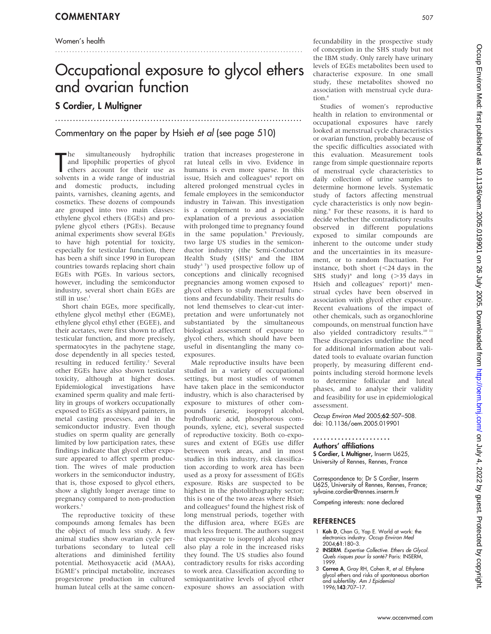## Women's health

# Occupational exposure to glycol ethers and ovarian function

...................................................................................

.......................................................................................

# S Cordier, L Multigner

## Commentary on the paper by Hsieh et al (see page 510)

The simultaneously hydrophilic<br>and lipophilic properties of glycol<br>ethers account for their use as<br>solvents in a wide range of industrial he simultaneously hydrophilic and lipophilic properties of glycol ethers account for their use as and domestic products, including paints, varnishes, cleaning agents, and cosmetics. These dozens of compounds are grouped into two main classes: ethylene glycol ethers (EGEs) and propylene glycol ethers (PGEs). Because animal experiments show several EGEs to have high potential for toxicity, especially for testicular function, there has been a shift since 1990 in European countries towards replacing short chain EGEs with PGEs. In various sectors, however, including the semiconductor industry, several short chain EGEs are still in use.<sup>1</sup>

Short chain EGEs, more specifically, ethylene glycol methyl ether (EGME), ethylene glycol ethyl ether (EGEE), and their acetates, were first shown to affect testicular function, and more precisely, spermatocytes in the pachytene stage, dose dependently in all species tested, resulting in reduced fertility.<sup>2</sup> Several other EGEs have also shown testicular toxicity, although at higher doses. Epidemiological investigations have examined sperm quality and male fertility in groups of workers occupationally exposed to EGEs as shipyard painters, in metal casting processes, and in the semiconductor industry. Even though studies on sperm quality are generally limited by low participation rates, these findings indicate that glycol ether exposure appeared to affect sperm production. The wives of male production workers in the semiconductor industry, that is, those exposed to glycol ethers, show a slightly longer average time to pregnancy compared to non-production workers.<sup>3</sup>

The reproductive toxicity of these compounds among females has been the object of much less study. A few animal studies show ovarian cycle perturbations secondary to luteal cell alterations and diminished fertility potential. Methoxyacetic acid (MAA), EGME's principal metabolite, increases progesterone production in cultured human luteal cells at the same concentration that increases progesterone in rat luteal cells in vivo. Evidence in humans is even more sparse. In this issue, Hsieh and colleagues<sup>4</sup> report on altered prolonged menstrual cycles in female employees in the semiconductor industry in Taiwan. This investigation is a complement to and a possible explanation of a previous association with prolonged time to pregnancy found in the same population.<sup>5</sup> Previously, two large US studies in the semiconductor industry (the Semi-Conductor Health Study (SHS)<sup>6</sup> and the IBM study<sup>3-7</sup>) used prospective follow up of conceptions and clinically recognised pregnancies among women exposed to glycol ethers to study menstrual functions and fecundability. Their results do not lend themselves to clear-cut interpretation and were unfortunately not substantiated by the simultaneous biological assessment of exposure to glycol ethers, which should have been useful in disentangling the many coexposures.

Male reproductive insults have been studied in a variety of occupational settings, but most studies of women have taken place in the semiconductor industry, which is also characterised by exposure to mixtures of other compounds (arsenic, isopropyl alcohol, hydrofluoric acid, phosphorous compounds, xylene, etc), several suspected of reproductive toxicity. Both co-exposures and extent of EGEs use differ between work areas, and in most studies in this industry, risk classification according to work area has been used as a proxy for assessment of EGEs exposure. Risks are suspected to be highest in the photolithography sector; this is one of the two areas where Hsieh and colleagues<sup>4</sup> found the highest risk of long menstrual periods, together with the diffusion area, where EGEs are much less frequent. The authors suggest that exposure to isopropyl alcohol may also play a role in the increased risks they found. The US studies also found contradictory results for risks according to work area. Classification according to semiquantitative levels of glycol ether exposure shows an association with

fecundability in the prospective study of conception in the SHS study but not the IBM study. Only rarely have urinary levels of EGEs metabolites been used to characterise exposure. In one small study, these metabolites showed no association with menstrual cycle duration<sup>8</sup>

Studies of women's reproductive health in relation to environmental or occupational exposures have rarely looked at menstrual cycle characteristics or ovarian function, probably because of the specific difficulties associated with this evaluation. Measurement tools range from simple questionnaire reports of menstrual cycle characteristics to daily collection of urine samples to determine hormone levels. Systematic study of factors affecting menstrual cycle characteristics is only now beginning.9 For these reasons, it is hard to decide whether the contradictory results observed in different populations exposed to similar compounds are inherent to the outcome under study and the uncertainties in its measurement, or to random fluctuation. For instance, both short  $\langle$  <24 days in the SHS study) $^6$  and long ( $>$ 35 days in Hsieh and colleagues' report)<sup>4</sup> menstrual cycles have been observed in association with glycol ether exposure. Recent evaluations of the impact of other chemicals, such as organochlorine compounds, on menstrual function have also yielded contradictory results.10 11 These discrepancies underline the need for additional information about validated tools to evaluate ovarian function properly, by measuring different endpoints including steroid hormone levels to determine follicular and luteal phases, and to analyse their validity and feasibility for use in epidemiological assessment.

Occup Environ Med 2005;62:507–508. doi: 10.1136/oem.2005.019901

Authors' affiliations ...................... S Cordier, L Multigner, Inserm U625, University of Rennes, Rennes, France

Correspondence to: Dr S Cordier, Inserm U625, University of Rennes, Rennes, France; sylvaine.cordier@rennes.inserm.fr

Competing interests: none declared

## REFERENCES

- 1 Koh D, Chan G, Yap E. World at work: the electronics industry. Occup Environ Med 2004;61:180–3.
- 2 **INSERM**. Expertise Collective. Ethers de Glycol. Quels risques pour la santé? Paris: INSERM, 1999.
- 3 Correa A, Gray RH, Cohen R, et al. Ethylene glycol ethers and risks of spontaneous abortion and subfertility. Am J Epidemiol 1996;143:707–17.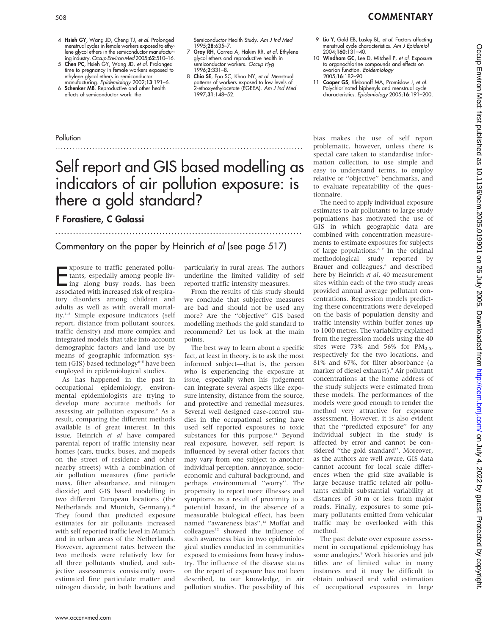- 4 Hsieh GY, Wang JD, Cheng TJ, et al. Prolonged menstrual cycles in female workers exposed to ethylene glycol ethers in the semiconductor manufactur-
- ing industry. Occup Environ Med 2005;62:510–16. 5 Chen PC, Hsieh GY, Wang JD, et al. Prolonged time to pregnancy in female workers exposed to ethylene glycol ethers in semiconductor manufacturing. Epidemiology 2002;13:191–6.
- 6 Schenker MB. Reproductive and other health effects of semiconductor work: the

Semiconductor Health Study. Am J Ind Med 1995;28:635–7.

- 7 Gray RH, Correa A, Hakim RR, et al. Ethylene glycol ethers and reproductive health in semiconductor workers. Occup Hyg 1996;2:331–8.
- 8 Chia SE, Foo SC, Khoo NY, et al. Menstrual patterns of workers exposed to low levels of .<br>2-ethoxyethylacetate (EGEEA). *Am J Ind Med* 1997;31:148–52.
- 9 Liu Y, Gold EB, Lasley BL, et al. Factors affecting menstrual cycle characteristics. Am J Epidemiol 2004;160:131–40.
- 10 Windham GC, Lee D, Mitchell P, et al. Exposure to organochlorine compounds and effects on<br>ovarian function. *Epidemiology* 2005;16:182–90.
- 11 Cooper GS, Klebanoff MA, Promislow J, et al. Polychlorinated biphenyls and menstrual cycle characteristics. Epidemiology 2005;16:191–200.

## **Pollution**

# Self report and GIS based modelling as indicators of air pollution exposure: is there a gold standard?

.......................................................................................

## F Forastiere, C Galassi

...................................................................................

## Commentary on the paper by Heinrich et al (see page 517)

Exposure to traffic generated pollu-<br>tants, especially among people liv-<br>ing along busy roads, has been<br>associated with increased risk of respiraxposure to traffic generated pollutants, especially among people living along busy roads, has been tory disorders among children and adults as well as with overall mortality.1–5 Simple exposure indicators (self report, distance from pollutant sources, traffic density) and more complex and integrated models that take into account demographic factors and land use by means of geographic information system (GIS) based technology<sup>6–8</sup> have been employed in epidemiological studies.

As has happened in the past in occupational epidemiology, environmental epidemiologists are trying to develop more accurate methods for assessing air pollution exposure.<sup>9</sup> As a result, comparing the different methods available is of great interest. In this issue, Heinrich et al have compared parental report of traffic intensity near homes (cars, trucks, buses, and mopeds on the street of residence and other nearby streets) with a combination of air pollution measures (fine particle mass, filter absorbance, and nitrogen dioxide) and GIS based modelling in two different European locations (the Netherlands and Munich, Germany).<sup>10</sup> They found that predicted exposure estimates for air pollutants increased with self reported traffic level in Munich and in urban areas of the Netherlands. However, agreement rates between the two methods were relatively low for all three pollutants studied, and subjective assessments consistently overestimated fine particulate matter and nitrogen dioxide, in both locations and

particularly in rural areas. The authors underline the limited validity of self reported traffic intensity measures.

From the results of this study should we conclude that subjective measures are bad and should not be used any more? Are the ''objective'' GIS based modelling methods the gold standard to recommend? Let us look at the main points.

The best way to learn about a specific fact, at least in theory, is to ask the most informed subject—that is, the person who is experiencing the exposure at issue, especially when his judgement can integrate several aspects like exposure intensity, distance from the source, and protective and remedial measures. Several well designed case-control studies in the occupational setting have used self reported exposures to toxic substances for this purpose.<sup>11</sup> Beyond real exposure, however, self report is influenced by several other factors that may vary from one subject to another: individual perception, annoyance, socioeconomic and cultural background, and perhaps environmental ''worry''. The propensity to report more illnesses and symptoms as a result of proximity to a potential hazard, in the absence of a measurable biological effect, has been named ''awareness bias''.12 Moffat and colleagues<sup>12</sup> showed the influence of such awareness bias in two epidemiological studies conducted in communities exposed to emissions from heavy industry. The influence of the disease status on the report of exposure has not been described, to our knowledge, in air pollution studies. The possibility of this

bias makes the use of self report problematic, however, unless there is special care taken to standardise information collection, to use simple and easy to understand terms, to employ relative or ''objective'' benchmarks, and to evaluate repeatability of the questionnaire.

The need to apply individual exposure estimates to air pollutants to large study populations has motivated the use of GIS in which geographic data are combined with concentration measurements to estimate exposures for subjects of large populations.<sup>67</sup> In the original methodological study reported by Brauer and colleagues,<sup>8</sup> and described here by Heinrich et al, 40 measurement sites within each of the two study areas provided annual average pollutant concentrations. Regression models predicting these concentrations were developed on the basis of population density and traffic intensity within buffer zones up to 1000 metres. The variability explained from the regression models using the 40 sites were 73% and 56% for  $PM_{2.5}$ , respectively for the two locations, and 81% and 67%, for filter absorbance (a marker of diesel exhaust).8 Air pollutant concentrations at the home address of the study subjects were estimated from these models. The performances of the models were good enough to render the method very attractive for exposure assessment. However, it is also evident that the ''predicted exposure'' for any individual subject in the study is affected by error and cannot be considered ''the gold standard''. Moreover, as the authors are well aware, GIS data cannot account for local scale differences when the grid size available is large because traffic related air pollutants exhibit substantial variability at distances of 50 m or less from major roads. Finally, exposures to some primary pollutants emitted from vehicular traffic may be overlooked with this method.

The past debate over exposure assessment in occupational epidemiology has some analogies.<sup>9</sup> Work histories and job titles are of limited value in many instances and it may be difficult to obtain unbiased and valid estimation of occupational exposures in large